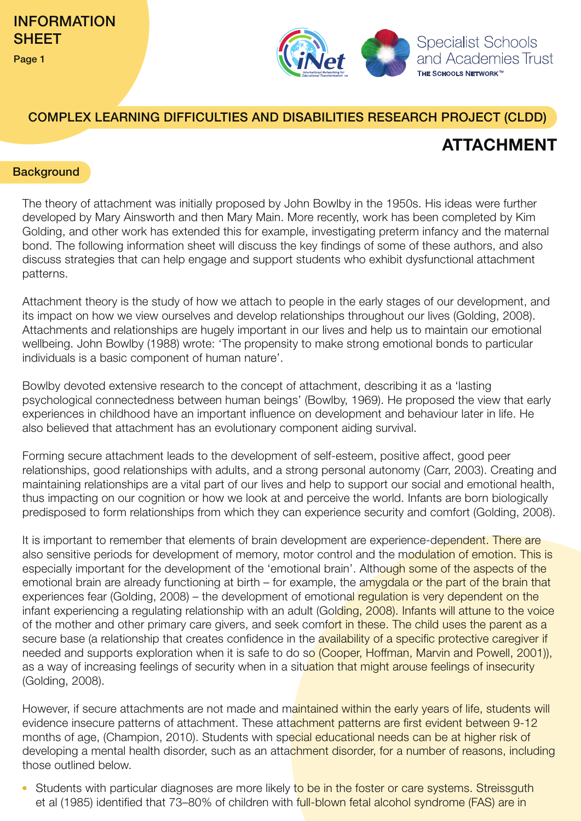

## COMPLEX LEARNING DIFFICULTIES AND DISABILITIES RESEARCH PROJECT (CLDD)

## **ATTACHMENT**

#### **Background**

The theory of attachment was initially proposed by John Bowlby in the 1950s. His ideas were further developed by Mary Ainsworth and then Mary Main. More recently, work has been completed by Kim Golding, and other work has extended this for example, investigating preterm infancy and the maternal bond. The following information sheet will discuss the key findings of some of these authors, and also discuss strategies that can help engage and support students who exhibit dysfunctional attachment patterns.

Attachment theory is the study of how we attach to people in the early stages of our development, and its impact on how we view ourselves and develop relationships throughout our lives (Golding, 2008). Attachments and relationships are hugely important in our lives and help us to maintain our emotional wellbeing. John Bowlby (1988) wrote: 'The propensity to make strong emotional bonds to particular individuals is a basic component of human nature'.

Bowlby devoted extensive research to the concept of attachment, describing it as a 'lasting psychological connectedness between human beings' (Bowlby, 1969). He proposed the view that early experiences in childhood have an important influence on development and behaviour later in life. He also believed that attachment has an evolutionary component aiding survival.

Forming secure attachment leads to the development of self-esteem, positive affect, good peer relationships, good relationships with adults, and a strong personal autonomy (Carr, 2003). Creating and maintaining relationships are a vital part of our lives and help to support our social and emotional health, thus impacting on our cognition or how we look at and perceive the world. Infants are born biologically predisposed to form relationships from which they can experience security and comfort (Golding, 2008).

It is important to remember that elements of brain development are experience-dependent. There are also sensitive periods for development of memory, motor control and the modulation of emotion. This is especially important for the development of the 'emotional brain'. Although some of the aspects of the emotional brain are already functioning at birth – for example, the amvgdala or the part of the brain that experiences fear (Golding, 2008) – the development of emotional regulation is very dependent on the infant experiencing a regulating relationship with an adult (Golding, 2008). Infants will attune to the voice of the mother and other primary care givers, and seek comfort in these. The child uses the parent as a secure base (a relationship that creates confidence in the availability of a specific protective caregiver if needed and supports exploration when it is safe to do so (Cooper, Hoffman, Marvin and Powell, 2001)), as a way of increasing feelings of security when in a situation that might arouse feelings of insecurity (Golding, 2008).

However, if secure attachments are not made and maintained within the early years of life, students will evidence insecure patterns of attachment. These attachment patterns are first evident between 9-12 months of age, (Champion, 2010). Students with special educational needs can be at higher risk of developing a mental health disorder, such as an attachment disorder, for a number of reasons, including those outlined below.

Students with particular diagnoses are more likely to be in the foster or care systems. Streissguth et al (1985) identified that 73–80% of children with full-blown fetal alcohol syndrome (FAS) are in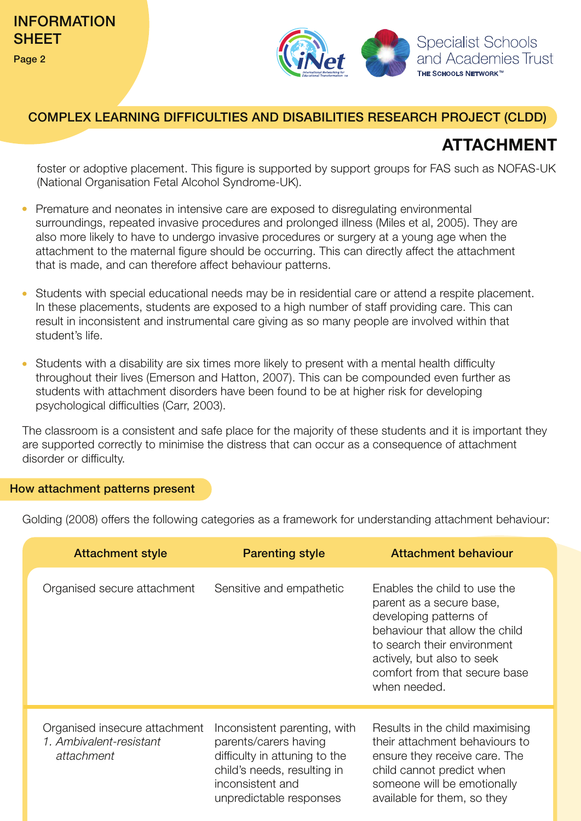

### COMPLEX LEARNING DIFFICULTIES AND DISABILITIES RESEARCH PROJECT (CLDD)

# **ATTACHMENT**

foster or adoptive placement. This figure is supported by support groups for FAS such as NOFAS-UK (National Organisation Fetal Alcohol Syndrome-UK).

- Premature and neonates in intensive care are exposed to disregulating environmental surroundings, repeated invasive procedures and prolonged illness (Miles et al, 2005). They are also more likely to have to undergo invasive procedures or surgery at a young age when the attachment to the maternal figure should be occurring. This can directly affect the attachment that is made, and can therefore affect behaviour patterns.
- Students with special educational needs may be in residential care or attend a respite placement. In these placements, students are exposed to a high number of staff providing care. This can result in inconsistent and instrumental care giving as so many people are involved within that student's life.
- Students with a disability are six times more likely to present with a mental health difficulty throughout their lives (Emerson and Hatton, 2007). This can be compounded even further as students with attachment disorders have been found to be at higher risk for developing psychological difficulties (Carr, 2003).

The classroom is a consistent and safe place for the majority of these students and it is important they are supported correctly to minimise the distress that can occur as a consequence of attachment disorder or difficulty.

#### How attachment patterns present

Golding (2008) offers the following categories as a framework for understanding attachment behaviour:

| <b>Attachment style</b>                                                | <b>Parenting style</b>                                                                                                                                               | <b>Attachment behaviour</b>                                                                                                                                                                                                        |
|------------------------------------------------------------------------|----------------------------------------------------------------------------------------------------------------------------------------------------------------------|------------------------------------------------------------------------------------------------------------------------------------------------------------------------------------------------------------------------------------|
| Organised secure attachment                                            | Sensitive and empathetic                                                                                                                                             | Enables the child to use the<br>parent as a secure base,<br>developing patterns of<br>behaviour that allow the child<br>to search their environment<br>actively, but also to seek<br>comfort from that secure base<br>when needed. |
| Organised insecure attachment<br>1. Ambivalent-resistant<br>attachment | Inconsistent parenting, with<br>parents/carers having<br>difficulty in attuning to the<br>child's needs, resulting in<br>inconsistent and<br>unpredictable responses | Results in the child maximising<br>their attachment behaviours to<br>ensure they receive care. The<br>child cannot predict when<br>someone will be emotionally<br>available for them, so they                                      |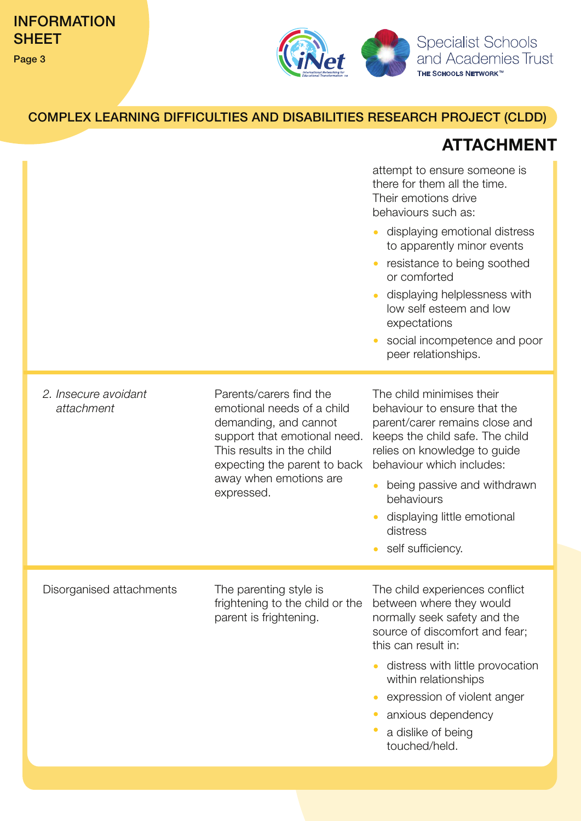

# COMPLEX LEARNING DIFFICULTIES AND DISABILITIES RESEARCH PROJECT (CLDD)

# **ATTACHMENT**

|                                    |                                                                                                                                                                                                                     | attempt to ensure someone is<br>there for them all the time.<br>Their emotions drive<br>behaviours such as:<br>displaying emotional distress<br>to apparently minor events<br>resistance to being soothed<br>or comforted<br>displaying helplessness with<br>low self esteem and low<br>expectations<br>social incompetence and poor<br>peer relationships. |
|------------------------------------|---------------------------------------------------------------------------------------------------------------------------------------------------------------------------------------------------------------------|-------------------------------------------------------------------------------------------------------------------------------------------------------------------------------------------------------------------------------------------------------------------------------------------------------------------------------------------------------------|
| 2. Insecure avoidant<br>attachment | Parents/carers find the<br>emotional needs of a child<br>demanding, and cannot<br>support that emotional need.<br>This results in the child<br>expecting the parent to back<br>away when emotions are<br>expressed. | The child minimises their<br>behaviour to ensure that the<br>parent/carer remains close and<br>keeps the child safe. The child<br>relies on knowledge to guide<br>behaviour which includes:<br>being passive and withdrawn<br>behaviours<br>displaying little emotional<br>distress<br>self sufficiency.                                                    |
| Disorganised attachments           | The parenting style is<br>frightening to the child or the<br>parent is frightening.                                                                                                                                 | The child experiences conflict<br>between where they would<br>normally seek safety and the<br>source of discomfort and fear;<br>this can result in:<br>distress with little provocation<br>within relationships<br>expression of violent anger<br>anxious dependency<br>a dislike of being<br>touched/held.                                                 |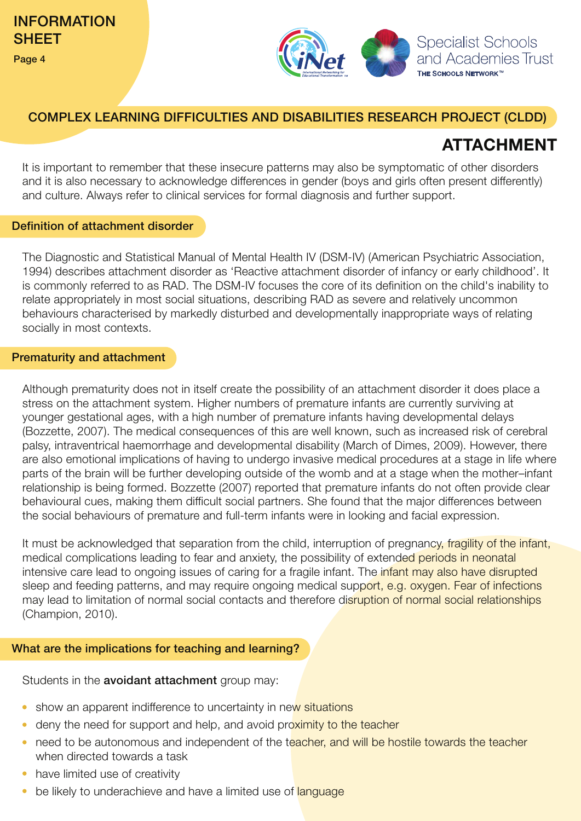

## COMPLEX LEARNING DIFFICULTIES AND DISABILITIES RESEARCH PROJECT (CLDD)

# **ATTACHMENT**

It is important to remember that these insecure patterns may also be symptomatic of other disorders and it is also necessary to acknowledge differences in gender (boys and girls often present differently) and culture. Always refer to clinical services for formal diagnosis and further support.

#### Definition of attachment disorder

The Diagnostic and Statistical Manual of Mental Health IV (DSM-IV) (American Psychiatric Association, 1994) describes attachment disorder as 'Reactive attachment disorder of infancy or early childhood'. It is commonly referred to as RAD. The DSM-IV focuses the core of its definition on the child's inability to relate appropriately in most social situations, describing RAD as severe and relatively uncommon behaviours characterised by markedly disturbed and developmentally inappropriate ways of relating socially in most contexts.

#### Prematurity and attachment

Although prematurity does not in itself create the possibility of an attachment disorder it does place a stress on the attachment system. Higher numbers of premature infants are currently surviving at younger gestational ages, with a high number of premature infants having developmental delays (Bozzette, 2007). The medical consequences of this are well known, such as increased risk of cerebral palsy, intraventrical haemorrhage and developmental disability (March of Dimes, 2009). However, there are also emotional implications of having to undergo invasive medical procedures at a stage in life where parts of the brain will be further developing outside of the womb and at a stage when the mother–infant relationship is being formed. Bozzette (2007) reported that premature infants do not often provide clear behavioural cues, making them difficult social partners. She found that the major differences between the social behaviours of premature and full-term infants were in looking and facial expression.

It must be acknowledged that separation from the child, interruption of pregnancy, fragility of the infant, medical complications leading to fear and anxiety, the possibility of extended periods in neonatal intensive care lead to ongoing issues of caring for a fragile infant. The *infant may also have disrupted* sleep and feeding patterns, and may require ongoing medical support, e.g. oxygen. Fear of infections may lead to limitation of normal social contacts and therefore disruption of normal social relationships (Champion, 2010).

### What are the implications for teaching and learning?

Students in the **avoidant attachment** group may:

- show an apparent indifference to uncertainty in new situations
- deny the need for support and help, and avoid proximity to the teacher
- need to be autonomous and independent of the teacher, and will be hostile towards the teacher when directed towards a task
- have limited use of creativity
- be likely to underachieve and have a limited use of language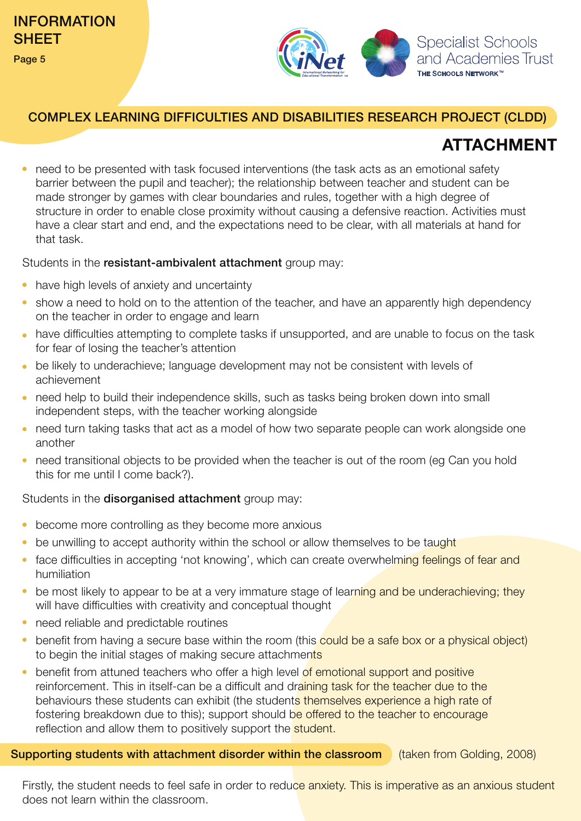

### COMPLEX LEARNING DIFFICULTIES AND DISABILITIES RESEARCH PROJECT (CLDD)

# **ATTACHMENT**

• need to be presented with task focused interventions (the task acts as an emotional safety barrier between the pupil and teacher); the relationship between teacher and student can be made stronger by games with clear boundaries and rules, together with a high degree of structure in order to enable close proximity without causing a defensive reaction. Activities must have a clear start and end, and the expectations need to be clear, with all materials at hand for that task.

Students in the resistant-ambivalent attachment group may:

- have high levels of anxiety and uncertainty
- show a need to hold on to the attention of the teacher, and have an apparently high dependency on the teacher in order to engage and learn
- have difficulties attempting to complete tasks if unsupported, and are unable to focus on the task for fear of losing the teacher's attention
- be likely to underachieve; language development may not be consistent with levels of achievement
- need help to build their independence skills, such as tasks being broken down into small independent steps, with the teacher working alongside
- need turn taking tasks that act as a model of how two separate people can work alongside one another
- need transitional objects to be provided when the teacher is out of the room (eg Can you hold this for me until I come back?).

### Students in the disorganised attachment group may:

- become more controlling as they become more anxious
- be unwilling to accept authority within the school or allow themselves to be taught
- face difficulties in accepting 'not knowing', which can create overwhelming feelings of fear and humiliation
- be most likely to appear to be at a very immature stage of learning and be underachieving; they will have difficulties with creativity and conceptual thought
- need reliable and predictable routines
- benefit from having a secure base within the room (this could be a safe box or a physical object) to begin the initial stages of making secure attachments
- benefit from attuned teachers who offer a high level of emotional support and positive reinforcement. This in itself-can be a difficult and draining task for the teacher due to the behaviours these students can exhibit (the students themselves experience a high rate of fostering breakdown due to this); support should be offered to the teacher to encourage reflection and allow them to positively support the student.

Supporting students with attachment disorder within the classroom (taken from Golding, 2008)

Firstly, the student needs to feel safe in order to reduce anxiety. This is imperative as an anxious student does not learn within the classroom.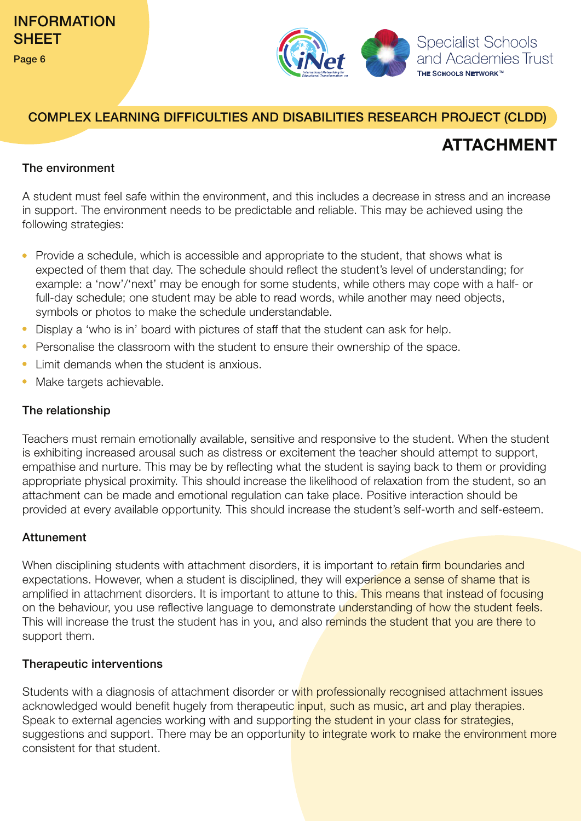

## COMPLEX LEARNING DIFFICULTIES AND DISABILITIES RESEARCH PROJECT (CLDD)

# **ATTACHMENT**

### The environment

A student must feel safe within the environment, and this includes a decrease in stress and an increase in support. The environment needs to be predictable and reliable. This may be achieved using the following strategies:

- Provide a schedule, which is accessible and appropriate to the student, that shows what is expected of them that day. The schedule should reflect the student's level of understanding; for example: a 'now'/'next' may be enough for some students, while others may cope with a half- or full-day schedule; one student may be able to read words, while another may need objects, symbols or photos to make the schedule understandable.
- Display a 'who is in' board with pictures of staff that the student can ask for help.
- Personalise the classroom with the student to ensure their ownership of the space.
- Limit demands when the student is anxious.
- Make targets achievable.

### The relationship

appropriate physical proximity. This should increase the likelihood of relaxation from the student, so an attachment can be made and emotional regulation can take place. Positive interaction should be provided at every available opportunity. This should increase the student's self-worth and self-esteem. Teachers must remain emotionally available, sensitive and responsive to the student. When the student is exhibiting increased arousal such as distress or excitement the teacher should attempt to support, empathise and nurture. This may be by reflecting what the student is saying back to them or providing

### Attunement

When disciplining students with attachment disorders, it is important to retain firm boundaries and expectations. However, when a student is disciplined, they will experience a sense of shame that is amplified in attachment disorders. It is important to attune to this. This means that instead of focusing on the behaviour, you use reflective language to demonstrate understanding of how the student feels. This will increase the trust the student has in you, and also reminds the student that you are there to support them.

### Therapeutic interventions

Students with a diagnosis of attachment disorder or with professionally recognised attachment issues acknowledged would benefit hugely from therapeutic *input*, such as music, art and play therapies. Speak to external agencies working with and supporting the student in your class for strategies, suggestions and support. There may be an opportunity to integrate work to make the environment more consistent for that student.